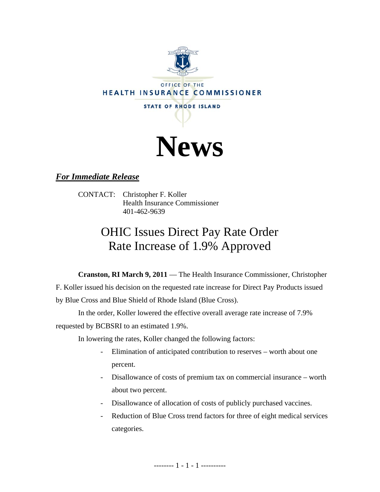



## *For Immediate Release*

CONTACT: Christopher F. Koller Health Insurance Commissioner 401-462-9639

# OHIC Issues Direct Pay Rate Order Rate Increase of 1.9% Approved

**Cranston, RI March 9, 2011** — The Health Insurance Commissioner, Christopher F. Koller issued his decision on the requested rate increase for Direct Pay Products issued by Blue Cross and Blue Shield of Rhode Island (Blue Cross).

In the order, Koller lowered the effective overall average rate increase of 7.9% requested by BCBSRI to an estimated 1.9%.

In lowering the rates, Koller changed the following factors:

- Elimination of anticipated contribution to reserves worth about one percent.
- Disallowance of costs of premium tax on commercial insurance worth about two percent.
- Disallowance of allocation of costs of publicly purchased vaccines.
- Reduction of Blue Cross trend factors for three of eight medical services categories.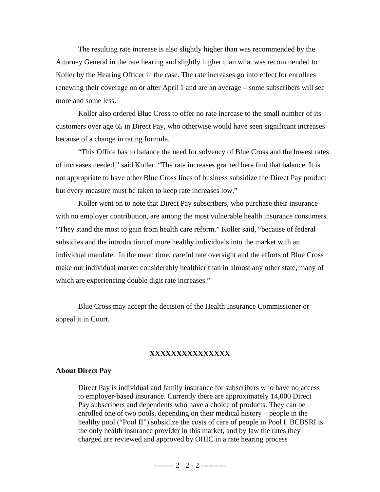The resulting rate increase is also slightly higher than was recommended by the Attorney General in the rate hearing and slightly higher than what was recommended to Koller by the Hearing Officer in the case. The rate increases go into effect for enrollees renewing their coverage on or after April 1 and are an average – some subscribers will see more and some less.

Koller also ordered Blue Cross to offer no rate increase to the small number of its customers over age 65 in Direct Pay, who otherwise would have seen significant increases because of a change in rating formula.

"This Office has to balance the need for solvency of Blue Cross and the lowest rates of increases needed," said Koller. "The rate increases granted here find that balance. It is not appropriate to have other Blue Cross lines of business subsidize the Direct Pay product but every measure must be taken to keep rate increases low."

Koller went on to note that Direct Pay subscribers, who purchase their insurance with no employer contribution, are among the most vulnerable health insurance consumers. "They stand the most to gain from health care reform." Koller said, "because of federal subsidies and the introduction of more healthy individuals into the market with an individual mandate. In the mean time, careful rate oversight and the efforts of Blue Cross make our individual market considerably healthier than in almost any other state, many of which are experiencing double digit rate increases."

Blue Cross may accept the decision of the Health Insurance Commissioner or appeal it in Court.

#### **XXXXXXXXXXXXXXX**

#### **About Direct Pay**

Direct Pay is individual and family insurance for subscribers who have no access to employer-based insurance. Currently there are approximately 14,000 Direct Pay subscribers and dependents who have a choice of products. They can be enrolled one of two pools, depending on their medical history – people in the healthy pool ("Pool II") subsidize the costs of care of people in Pool I. BCBSRI is the only health insurance provider in this market, and by law the rates they charged are reviewed and approved by OHIC in a rate hearing process

-------- 2 - 2 - 2 ----------